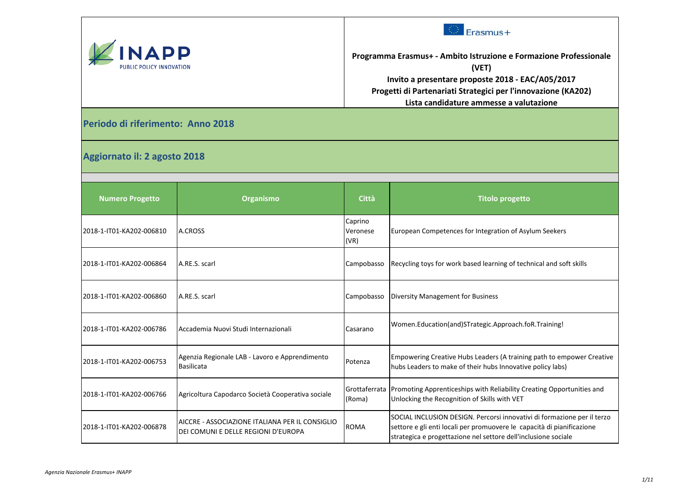



**Programma Erasmus+ - Ambito Istruzione e Formazione Professionale (VET) Invito a presentare proposte 2018 - EAC/A05/2017 Progetti di Partenariati Strategici per l'innovazione (KA202) Lista candidature ammesse a valutazione**

**Periodo di riferimento: Anno 2018**

**Aggiornato il: 2 agosto 2018**

| <b>Numero Progetto</b>   | <b>Organismo</b>                                                                        | <b>Città</b>                | <b>Titolo progetto</b>                                                                                                                                                                                              |
|--------------------------|-----------------------------------------------------------------------------------------|-----------------------------|---------------------------------------------------------------------------------------------------------------------------------------------------------------------------------------------------------------------|
| 2018-1-IT01-KA202-006810 | A.CROSS                                                                                 | Caprino<br>Veronese<br>(VR) | European Competences for Integration of Asylum Seekers                                                                                                                                                              |
| 2018-1-IT01-KA202-006864 | A.RE.S. scarl                                                                           | Campobasso                  | Recycling toys for work based learning of technical and soft skills                                                                                                                                                 |
| 2018-1-IT01-KA202-006860 | A.RE.S. scarl                                                                           | Campobasso                  | Diversity Management for Business                                                                                                                                                                                   |
| 2018-1-IT01-KA202-006786 | Accademia Nuovi Studi Internazionali                                                    | Casarano                    | Women.Education(and)STrategic.Approach.foR.Training!                                                                                                                                                                |
| 2018-1-IT01-KA202-006753 | Agenzia Regionale LAB - Lavoro e Apprendimento<br><b>Basilicata</b>                     | Potenza                     | Empowering Creative Hubs Leaders (A training path to empower Creative<br>hubs Leaders to make of their hubs Innovative policy labs)                                                                                 |
| 2018-1-IT01-KA202-006766 | Agricoltura Capodarco Società Cooperativa sociale                                       | (Roma)                      | Grottaferrata Promoting Apprenticeships with Reliability Creating Opportunities and<br>Unlocking the Recognition of Skills with VET                                                                                 |
| 2018-1-IT01-KA202-006878 | IAICCRE - ASSOCIAZIONE ITALIANA PER IL CONSIGLIO<br>DEI COMUNI E DELLE REGIONI D'EUROPA | <b>ROMA</b>                 | SOCIAL INCLUSION DESIGN. Percorsi innovativi di formazione per il terzo<br>settore e gli enti locali per promuovere le capacità di pianificazione<br>strategica e progettazione nel settore dell'inclusione sociale |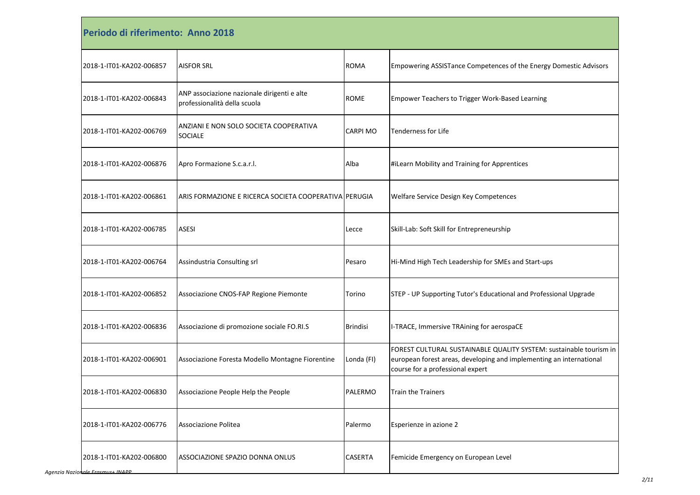| Periodo di riferimento: Anno 2018 |                                                                             |                 |                                                                                                                                                                               |  |
|-----------------------------------|-----------------------------------------------------------------------------|-----------------|-------------------------------------------------------------------------------------------------------------------------------------------------------------------------------|--|
| 2018-1-IT01-KA202-006857          | <b>AISFOR SRL</b>                                                           | <b>ROMA</b>     | Empowering ASSISTance Competences of the Energy Domestic Advisors                                                                                                             |  |
| 2018-1-IT01-KA202-006843          | ANP associazione nazionale dirigenti e alte<br>professionalità della scuola | <b>ROME</b>     | <b>Empower Teachers to Trigger Work-Based Learning</b>                                                                                                                        |  |
| 2018-1-IT01-KA202-006769          | ANZIANI E NON SOLO SOCIETA COOPERATIVA<br><b>SOCIALE</b>                    | CARPI MO        | <b>Tenderness for Life</b>                                                                                                                                                    |  |
| 2018-1-IT01-KA202-006876          | Apro Formazione S.c.a.r.l.                                                  | Alba            | #iLearn Mobility and Training for Apprentices                                                                                                                                 |  |
| 2018-1-IT01-KA202-006861          | ARIS FORMAZIONE E RICERCA SOCIETA COOPERATIVA PERUGIA                       |                 | Welfare Service Design Key Competences                                                                                                                                        |  |
| 2018-1-IT01-KA202-006785          | <b>ASESI</b>                                                                | Lecce           | Skill-Lab: Soft Skill for Entrepreneurship                                                                                                                                    |  |
| 2018-1-IT01-KA202-006764          | Assindustria Consulting srl                                                 | Pesaro          | Hi-Mind High Tech Leadership for SMEs and Start-ups                                                                                                                           |  |
| 2018-1-IT01-KA202-006852          | Associazione CNOS-FAP Regione Piemonte                                      | Torino          | STEP - UP Supporting Tutor's Educational and Professional Upgrade                                                                                                             |  |
| 2018-1-IT01-KA202-006836          | Associazione di promozione sociale FO.RI.S                                  | <b>Brindisi</b> | I-TRACE, Immersive TRAining for aerospaCE                                                                                                                                     |  |
| 2018-1-IT01-KA202-006901          | Associazione Foresta Modello Montagne Fiorentine                            | Londa (FI)      | FOREST CULTURAL SUSTAINABLE QUALITY SYSTEM: sustainable tourism in<br>european forest areas, developing and implementing an international<br>course for a professional expert |  |
| 2018-1-IT01-KA202-006830          | Associazione People Help the People                                         | PALERMO         | <b>Train the Trainers</b>                                                                                                                                                     |  |
| 2018-1-IT01-KA202-006776          | Associazione Politea                                                        | Palermo         | Esperienze in azione 2                                                                                                                                                        |  |
| 2018-1-IT01-KA202-006800          | ASSOCIAZIONE SPAZIO DONNA ONLUS                                             | CASERTA         | Femicide Emergency on European Level                                                                                                                                          |  |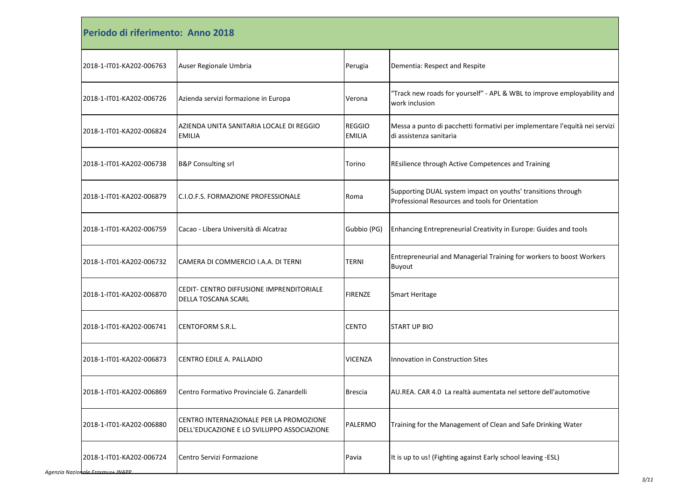| Periodo di riferimento: Anno 2018 |                                                                                       |                                |                                                                                                                  |
|-----------------------------------|---------------------------------------------------------------------------------------|--------------------------------|------------------------------------------------------------------------------------------------------------------|
| 2018-1-IT01-KA202-006763          | Auser Regionale Umbria                                                                | Perugia                        | Dementia: Respect and Respite                                                                                    |
| 2018-1-IT01-KA202-006726          | Azienda servizi formazione in Europa                                                  | Verona                         | "Track new roads for yourself" - APL & WBL to improve employability and<br>work inclusion                        |
| 2018-1-IT01-KA202-006824          | AZIENDA UNITA SANITARIA LOCALE DI REGGIO<br><b>EMILIA</b>                             | <b>REGGIO</b><br><b>EMILIA</b> | Messa a punto di pacchetti formativi per implementare l'equità nei servizi<br>di assistenza sanitaria            |
| 2018-1-IT01-KA202-006738          | <b>B&amp;P Consulting srl</b>                                                         | Torino                         | REsilience through Active Competences and Training                                                               |
| 2018-1-IT01-KA202-006879          | <b>IC.I.O.F.S. FORMAZIONE PROFESSIONALE</b>                                           | Roma                           | Supporting DUAL system impact on youths' transitions through<br>Professional Resources and tools for Orientation |
| 2018-1-IT01-KA202-006759          | Cacao - Libera Università di Alcatraz                                                 | Gubbio (PG)                    | Enhancing Entrepreneurial Creativity in Europe: Guides and tools                                                 |
| 2018-1-IT01-KA202-006732          | CAMERA DI COMMERCIO I.A.A. DI TERNI                                                   | TERNI                          | Entrepreneurial and Managerial Training for workers to boost Workers<br>Buyout                                   |
| 2018-1-IT01-KA202-006870          | CEDIT- CENTRO DIFFUSIONE IMPRENDITORIALE<br><b>DELLA TOSCANA SCARL</b>                | <b>FIRENZE</b>                 | <b>Smart Heritage</b>                                                                                            |
| 2018-1-IT01-KA202-006741          | <b>CENTOFORM S.R.L.</b>                                                               | <b>CENTO</b>                   | <b>START UP BIO</b>                                                                                              |
| 2018-1-IT01-KA202-006873          | CENTRO EDILE A. PALLADIO                                                              | <b>VICENZA</b>                 | Innovation in Construction Sites                                                                                 |
| 2018-1-IT01-KA202-006869          | Centro Formativo Provinciale G. Zanardelli                                            | <b>Brescia</b>                 | AU.REA. CAR 4.0 La realtà aumentata nel settore dell'automotive                                                  |
| 2018-1-IT01-KA202-006880          | CENTRO INTERNAZIONALE PER LA PROMOZIONE<br>DELL'EDUCAZIONE E LO SVILUPPO ASSOCIAZIONE | PALERMO                        | Training for the Management of Clean and Safe Drinking Water                                                     |
| 2018-1-IT01-KA202-006724          | Centro Servizi Formazione                                                             | Pavia                          | It is up to us! (Fighting against Early school leaving -ESL)                                                     |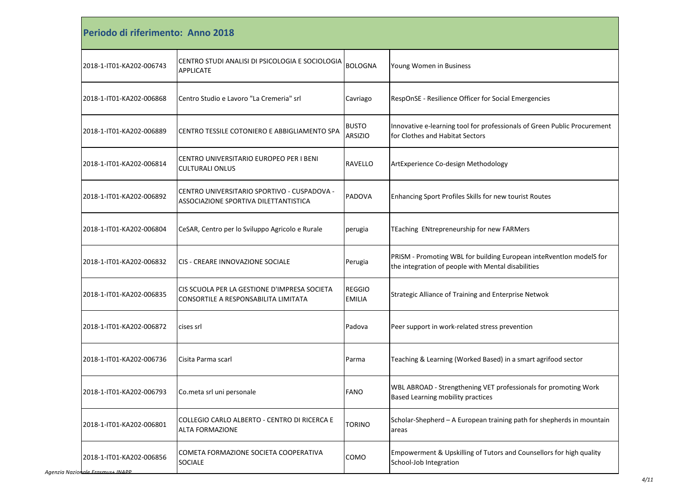| Periodo di riferimento: Anno 2018 |                                                                                      |                                |                                                                                                                           |
|-----------------------------------|--------------------------------------------------------------------------------------|--------------------------------|---------------------------------------------------------------------------------------------------------------------------|
| 2018-1-IT01-KA202-006743          | CENTRO STUDI ANALISI DI PSICOLOGIA E SOCIOLOGIA<br><b>APPLICATE</b>                  | <b>BOLOGNA</b>                 | Young Women in Business                                                                                                   |
| 2018-1-IT01-KA202-006868          | Centro Studio e Lavoro "La Cremeria" srl                                             | Cavriago                       | RespOnSE - Resilience Officer for Social Emergencies                                                                      |
| 2018-1-IT01-KA202-006889          | CENTRO TESSILE COTONIERO E ABBIGLIAMENTO SPA                                         | <b>BUSTO</b><br><b>ARSIZIO</b> | Innovative e-learning tool for professionals of Green Public Procurement<br>for Clothes and Habitat Sectors               |
| 2018-1-IT01-KA202-006814          | CENTRO UNIVERSITARIO EUROPEO PER I BENI<br><b>CULTURALI ONLUS</b>                    | <b>RAVELLO</b>                 | ArtExperience Co-design Methodology                                                                                       |
| 2018-1-IT01-KA202-006892          | CENTRO UNIVERSITARIO SPORTIVO - CUSPADOVA -<br>ASSOCIAZIONE SPORTIVA DILETTANTISTICA | PADOVA                         | Enhancing Sport Profiles Skills for new tourist Routes                                                                    |
| 2018-1-IT01-KA202-006804          | CeSAR, Centro per lo Sviluppo Agricolo e Rurale                                      | perugia                        | TEaching ENtrepreneurship for new FARMers                                                                                 |
| 2018-1-IT01-KA202-006832          | CIS - CREARE INNOVAZIONE SOCIALE                                                     | Perugia                        | PRISM - Promoting WBL for building European inteRventIon modelS for<br>the integration of people with Mental disabilities |
| 2018-1-IT01-KA202-006835          | CIS SCUOLA PER LA GESTIONE D'IMPRESA SOCIETA<br>CONSORTILE A RESPONSABILITA LIMITATA | <b>REGGIO</b><br><b>EMILIA</b> | Strategic Alliance of Training and Enterprise Netwok                                                                      |
| 2018-1-IT01-KA202-006872          | cises srl                                                                            | Padova                         | Peer support in work-related stress prevention                                                                            |
| 2018-1-IT01-KA202-006736          | Cisita Parma scarl                                                                   | Parma                          | Teaching & Learning (Worked Based) in a smart agrifood sector                                                             |
| 2018-1-IT01-KA202-006793          | Co.meta srl uni personale                                                            | FANO                           | WBL ABROAD - Strengthening VET professionals for promoting Work<br>Based Learning mobility practices                      |
| 2018-1-IT01-KA202-006801          | COLLEGIO CARLO ALBERTO - CENTRO DI RICERCA E<br><b>ALTA FORMAZIONE</b>               | <b>TORINO</b>                  | Scholar-Shepherd - A European training path for shepherds in mountain<br>areas                                            |
| 2018-1-IT01-KA202-006856          | COMETA FORMAZIONE SOCIETA COOPERATIVA<br><b>SOCIALE</b>                              | COMO                           | Empowerment & Upskilling of Tutors and Counsellors for high quality<br>School-Job Integration                             |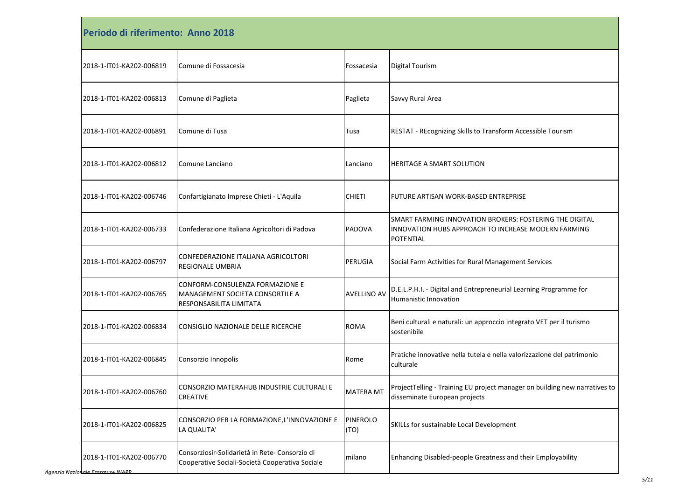| Periodo di riferimento: Anno 2018 |                                                                                                   |                         |                                                                                                                                    |
|-----------------------------------|---------------------------------------------------------------------------------------------------|-------------------------|------------------------------------------------------------------------------------------------------------------------------------|
| 2018-1-IT01-KA202-006819          | Comune di Fossacesia                                                                              | Fossacesia              | <b>Digital Tourism</b>                                                                                                             |
| 2018-1-IT01-KA202-006813          | Comune di Paglieta                                                                                | Paglieta                | Savvy Rural Area                                                                                                                   |
| 2018-1-IT01-KA202-006891          | Comune di Tusa                                                                                    | Tusa                    | RESTAT - REcognizing Skills to Transform Accessible Tourism                                                                        |
| 2018-1-IT01-KA202-006812          | Comune Lanciano                                                                                   | Lanciano                | HERITAGE A SMART SOLUTION                                                                                                          |
| 2018-1-IT01-KA202-006746          | Confartigianato Imprese Chieti - L'Aquila                                                         | <b>CHIETI</b>           | FUTURE ARTISAN WORK-BASED ENTREPRISE                                                                                               |
| 2018-1-IT01-KA202-006733          | Confederazione Italiana Agricoltori di Padova                                                     | <b>PADOVA</b>           | SMART FARMING INNOVATION BROKERS: FOSTERING THE DIGITAL<br>INNOVATION HUBS APPROACH TO INCREASE MODERN FARMING<br><b>POTENTIAL</b> |
| 2018-1-IT01-KA202-006797          | CONFEDERAZIONE ITALIANA AGRICOLTORI<br><b>REGIONALE UMBRIA</b>                                    | PERUGIA                 | Social Farm Activities for Rural Management Services                                                                               |
| 2018-1-IT01-KA202-006765          | CONFORM-CONSULENZA FORMAZIONE E<br>MANAGEMENT SOCIETA CONSORTILE A<br>RESPONSABILITA LIMITATA     | <b>AVELLINO AV</b>      | D.E.L.P.H.I. - Digital and Entrepreneurial Learning Programme for<br>Humanistic Innovation                                         |
| 2018-1-IT01-KA202-006834          | CONSIGLIO NAZIONALE DELLE RICERCHE                                                                | <b>ROMA</b>             | Beni culturali e naturali: un approccio integrato VET per il turismo<br>sostenibile                                                |
| 2018-1-IT01-KA202-006845          | Consorzio Innopolis                                                                               | Rome                    | Pratiche innovative nella tutela e nella valorizzazione del patrimonio<br>culturale                                                |
| 2018-1-IT01-KA202-006760          | CONSORZIO MATERAHUB INDUSTRIE CULTURALI E<br><b>CREATIVE</b>                                      | <b>MATERA MT</b>        | ProjectTelling - Training EU project manager on building new narratives to<br>disseminate European projects                        |
| 2018-1-IT01-KA202-006825          | CONSORZIO PER LA FORMAZIONE, L'INNOVAZIONE E<br>LA QUALITA'                                       | <b>PINEROLO</b><br>(TO) | SKILLs for sustainable Local Development                                                                                           |
| 2018-1-IT01-KA202-006770          | Consorziosir-Solidarietà in Rete- Consorzio di<br>Cooperative Sociali-Società Cooperativa Sociale | milano                  | Enhancing Disabled-people Greatness and their Employability                                                                        |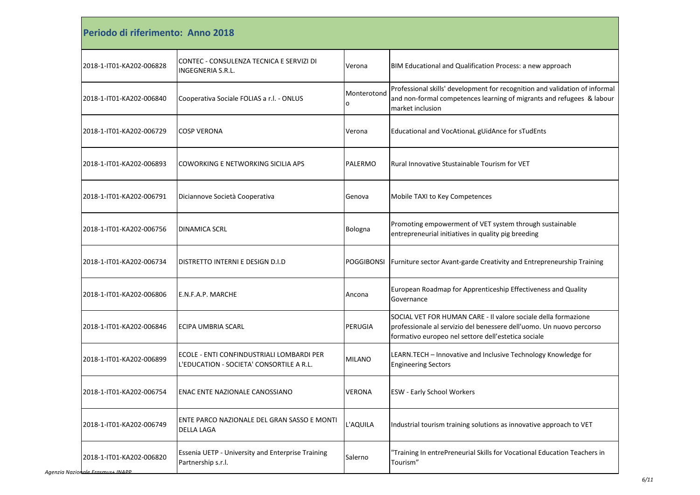| Periodo di riferimento: Anno 2018 |                                                                                       |                   |                                                                                                                                                                                               |
|-----------------------------------|---------------------------------------------------------------------------------------|-------------------|-----------------------------------------------------------------------------------------------------------------------------------------------------------------------------------------------|
| 2018-1-IT01-KA202-006828          | CONTEC - CONSULENZA TECNICA E SERVIZI DI<br><b>INGEGNERIA S.R.L.</b>                  | Verona            | BIM Educational and Qualification Process: a new approach                                                                                                                                     |
| 2018-1-IT01-KA202-006840          | Cooperativa Sociale FOLIAS a r.l. - ONLUS                                             | Monterotond<br>o  | Professional skills' development for recognition and validation of informal<br>and non-formal competences learning of migrants and refugees & labour<br>market inclusion                      |
| 2018-1-IT01-KA202-006729          | <b>COSP VERONA</b>                                                                    | Verona            | Educational and VocAtionaL gUidAnce for sTudEnts                                                                                                                                              |
| 2018-1-IT01-KA202-006893          | COWORKING E NETWORKING SICILIA APS                                                    | PALERMO           | Rural Innovative Stustainable Tourism for VET                                                                                                                                                 |
| 2018-1-IT01-KA202-006791          | Diciannove Società Cooperativa                                                        | Genova            | Mobile TAXI to Key Competences                                                                                                                                                                |
| 2018-1-IT01-KA202-006756          | <b>DINAMICA SCRL</b>                                                                  | Bologna           | Promoting empowerment of VET system through sustainable<br>entrepreneurial initiatives in quality pig breeding                                                                                |
| 2018-1-IT01-KA202-006734          | DISTRETTO INTERNI E DESIGN D.I.D                                                      | <b>POGGIBONSI</b> | Furniture sector Avant-garde Creativity and Entrepreneurship Training                                                                                                                         |
| 2018-1-IT01-KA202-006806          | E.N.F.A.P. MARCHE                                                                     | Ancona            | European Roadmap for Apprenticeship Effectiveness and Quality<br>Governance                                                                                                                   |
| 2018-1-IT01-KA202-006846          | ECIPA UMBRIA SCARL                                                                    | PERUGIA           | SOCIAL VET FOR HUMAN CARE - Il valore sociale della formazione<br>professionale al servizio del benessere dell'uomo. Un nuovo percorso<br>formativo europeo nel settore dell'estetica sociale |
| 2018-1-IT01-KA202-006899          | ECOLE - ENTI CONFINDUSTRIALI LOMBARDI PER<br>L'EDUCATION - SOCIETA' CONSORTILE A R.L. | <b>MILANO</b>     | LEARN.TECH - Innovative and Inclusive Technology Knowledge for<br><b>Engineering Sectors</b>                                                                                                  |
| 2018-1-IT01-KA202-006754          | <b>ENAC ENTE NAZIONALE CANOSSIANO</b>                                                 | VERONA            | <b>ESW - Early School Workers</b>                                                                                                                                                             |
| 2018-1-IT01-KA202-006749          | ENTE PARCO NAZIONALE DEL GRAN SASSO E MONTI<br><b>DELLA LAGA</b>                      | L'AQUILA          | Industrial tourism training solutions as innovative approach to VET                                                                                                                           |
| 2018-1-IT01-KA202-006820          | Essenia UETP - University and Enterprise Training<br>Partnership s.r.l.               | Salerno           | 'Training In entrePreneurial Skills for Vocational Education Teachers in<br>Tourism"                                                                                                          |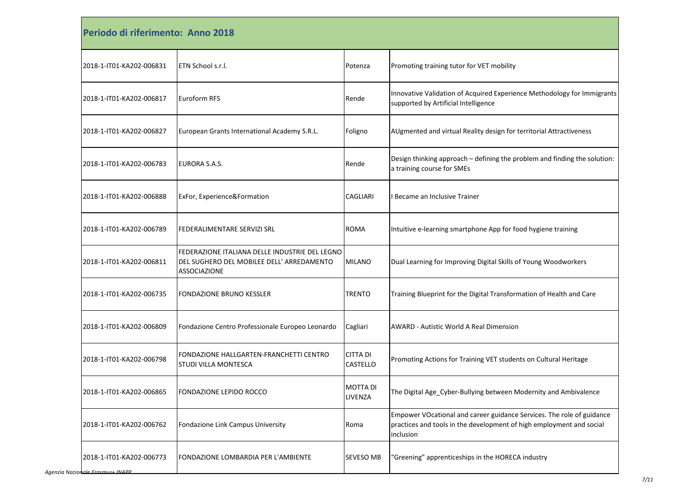| Periodo di riferimento: Anno 2018 |                                                                                                                    |                             |                                                                                                                                                            |
|-----------------------------------|--------------------------------------------------------------------------------------------------------------------|-----------------------------|------------------------------------------------------------------------------------------------------------------------------------------------------------|
| 2018-1-IT01-KA202-006831          | ETN School s.r.l.                                                                                                  | Potenza                     | Promoting training tutor for VET mobility                                                                                                                  |
| 2018-1-IT01-KA202-006817          | Euroform RFS                                                                                                       | Rende                       | Innovative Validation of Acquired Experience Methodology for Immigrants<br>supported by Artificial Intelligence                                            |
| 2018-1-IT01-KA202-006827          | European Grants International Academy S.R.L.                                                                       | Foligno                     | AUgmented and virtual Reality design for territorial Attractiveness                                                                                        |
| 2018-1-IT01-KA202-006783          | EURORA S.A.S.                                                                                                      | Rende                       | Design thinking approach - defining the problem and finding the solution:<br>a training course for SMEs                                                    |
| 2018-1-IT01-KA202-006888          | ExFor, Experience&Formation                                                                                        | CAGLIARI                    | I Became an Inclusive Trainer                                                                                                                              |
| 2018-1-IT01-KA202-006789          | FEDERALIMENTARE SERVIZI SRL                                                                                        | <b>ROMA</b>                 | Intuitive e-learning smartphone App for food hygiene training                                                                                              |
| 2018-1-IT01-KA202-006811          | FEDERAZIONE ITALIANA DELLE INDUSTRIE DEL LEGNO<br>DEL SUGHERO DEL MOBILEE DELL' ARREDAMENTO<br><b>ASSOCIAZIONE</b> | <b>MILANO</b>               | Dual Learning for Improving Digital Skills of Young Woodworkers                                                                                            |
| 2018-1-IT01-KA202-006735          | <b>FONDAZIONE BRUNO KESSLER</b>                                                                                    | <b>TRENTO</b>               | Training Blueprint for the Digital Transformation of Health and Care                                                                                       |
| 2018-1-IT01-KA202-006809          | Fondazione Centro Professionale Europeo Leonardo                                                                   | Cagliari                    | <b>AWARD - Autistic World A Real Dimension</b>                                                                                                             |
| 2018-1-IT01-KA202-006798          | FONDAZIONE HALLGARTEN-FRANCHETTI CENTRO<br><b>STUDI VILLA MONTESCA</b>                                             | <b>CITTA DI</b><br>CASTELLO | Promoting Actions for Training VET students on Cultural Heritage                                                                                           |
| 2018-1-IT01-KA202-006865          | FONDAZIONE LEPIDO ROCCO                                                                                            | <b>MOTTA DI</b><br>LIVENZA  | The Digital Age_Cyber-Bullying between Modernity and Ambivalence                                                                                           |
| 2018-1-IT01-KA202-006762          | Fondazione Link Campus University                                                                                  | Roma                        | Empower VOcational and career guidance Services. The role of guidance<br>practices and tools in the development of high employment and social<br>inclusion |
| 2018-1-IT01-KA202-006773          | FONDAZIONE LOMBARDIA PER L'AMBIENTE                                                                                | SEVESO MB                   | "Greening" apprenticeships in the HORECA industry                                                                                                          |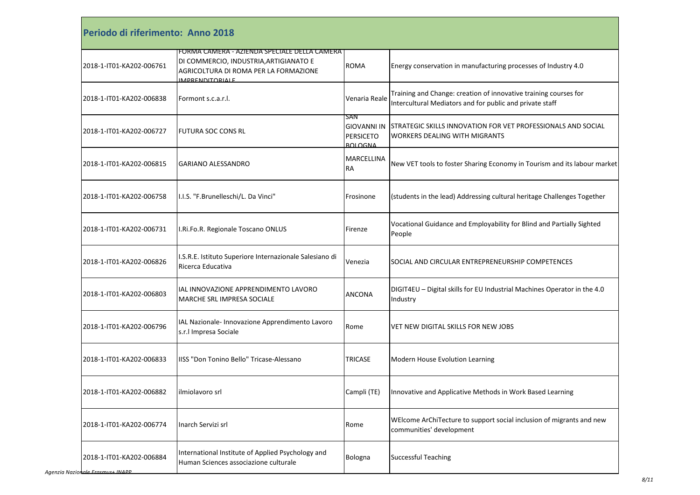| Periodo di riferimento: Anno 2018 |                                                                                                                                                           |                                                                 |                                                                                                                              |
|-----------------------------------|-----------------------------------------------------------------------------------------------------------------------------------------------------------|-----------------------------------------------------------------|------------------------------------------------------------------------------------------------------------------------------|
| 2018-1-IT01-KA202-006761          | FORMA CAMERA - AZIENDA SPECIALE DELLA CAMERA<br>DI COMMERCIO, INDUSTRIA, ARTIGIANATO E<br>AGRICOLTURA DI ROMA PER LA FORMAZIONE<br><b>IMPRENDITORIALE</b> | <b>ROMA</b>                                                     | Energy conservation in manufacturing processes of Industry 4.0                                                               |
| 2018-1-IT01-KA202-006838          | Formont s.c.a.r.l.                                                                                                                                        | Venaria Reale                                                   | Training and Change: creation of innovative training courses for<br>Intercultural Mediators and for public and private staff |
| 2018-1-IT01-KA202-006727          | FUTURA SOC CONS RL                                                                                                                                        | San<br><b>GIOVANNI IN</b><br><b>PERSICETO</b><br><b>BOLOGNA</b> | <b>STRATEGIC SKILLS INNOVATION FOR VET PROFESSIONALS AND SOCIAL</b><br><b>WORKERS DEALING WITH MIGRANTS</b>                  |
| 2018-1-IT01-KA202-006815          | GARIANO ALESSANDRO                                                                                                                                        | MARCELLINA<br>RА                                                | New VET tools to foster Sharing Economy in Tourism and its labour market                                                     |
| 2018-1-IT01-KA202-006758          | I.I.S. "F.Brunelleschi/L. Da Vinci"                                                                                                                       | Frosinone                                                       | (students in the lead) Addressing cultural heritage Challenges Together                                                      |
| 2018-1-IT01-KA202-006731          | I.Ri.Fo.R. Regionale Toscano ONLUS                                                                                                                        | Firenze                                                         | Vocational Guidance and Employability for Blind and Partially Sighted<br>People                                              |
| 2018-1-IT01-KA202-006826          | I.S.R.E. Istituto Superiore Internazionale Salesiano di<br>Ricerca Educativa                                                                              | Venezia                                                         | SOCIAL AND CIRCULAR ENTREPRENEURSHIP COMPETENCES                                                                             |
| 2018-1-IT01-KA202-006803          | IAL INNOVAZIONE APPRENDIMENTO LAVORO<br>MARCHE SRL IMPRESA SOCIALE                                                                                        | ANCONA                                                          | DIGIT4EU - Digital skills for EU Industrial Machines Operator in the 4.0<br>Industry                                         |
| 2018-1-IT01-KA202-006796          | IAL Nazionale- Innovazione Apprendimento Lavoro<br>s.r.l Impresa Sociale                                                                                  | Rome                                                            | VET NEW DIGITAL SKILLS FOR NEW JOBS                                                                                          |
| 2018-1-IT01-KA202-006833          | IISS "Don Tonino Bello" Tricase-Alessano                                                                                                                  | <b>TRICASE</b>                                                  | Modern House Evolution Learning                                                                                              |
| 2018-1-IT01-KA202-006882          | ilmiolavoro srl                                                                                                                                           | Campli (TE)                                                     | Innovative and Applicative Methods in Work Based Learning                                                                    |
| 2018-1-IT01-KA202-006774          | Inarch Servizi srl                                                                                                                                        | Rome                                                            | WEIcome ArChiTecture to support social inclusion of migrants and new<br>communities' development                             |
| 2018-1-IT01-KA202-006884          | International Institute of Applied Psychology and<br>Human Sciences associazione culturale                                                                | Bologna                                                         | <b>Successful Teaching</b>                                                                                                   |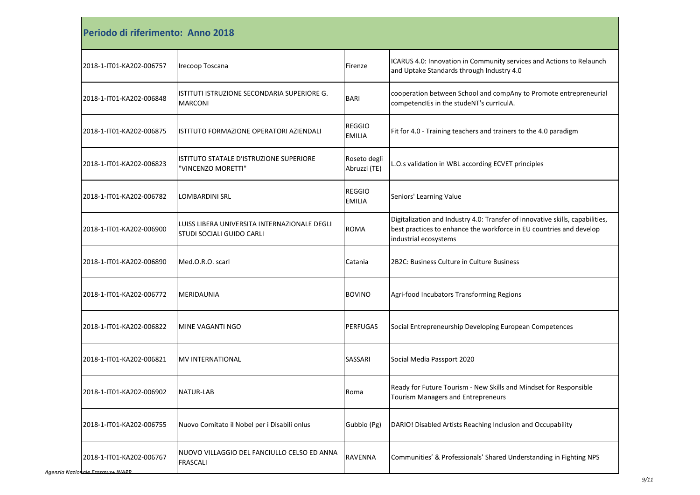| Periodo di riferimento: Anno 2018 |                                                                           |                                |                                                                                                                                                                               |
|-----------------------------------|---------------------------------------------------------------------------|--------------------------------|-------------------------------------------------------------------------------------------------------------------------------------------------------------------------------|
| 2018-1-IT01-KA202-006757          | Irecoop Toscana                                                           | Firenze                        | ICARUS 4.0: Innovation in Community services and Actions to Relaunch<br>and Uptake Standards through Industry 4.0                                                             |
| 2018-1-IT01-KA202-006848          | ISTITUTI ISTRUZIONE SECONDARIA SUPERIORE G.<br><b>MARCONI</b>             | BARI                           | cooperation between School and compAny to Promote entrepreneurial<br>competencIEs in the studeNT's currIculA.                                                                 |
| 2018-1-IT01-KA202-006875          | ISTITUTO FORMAZIONE OPERATORI AZIENDALI                                   | <b>REGGIO</b><br><b>EMILIA</b> | Fit for 4.0 - Training teachers and trainers to the 4.0 paradigm                                                                                                              |
| 2018-1-IT01-KA202-006823          | ISTITUTO STATALE D'ISTRUZIONE SUPERIORE<br>"VINCENZO MORETTI"             | Roseto degli<br>Abruzzi (TE)   | L.O.s validation in WBL according ECVET principles                                                                                                                            |
| 2018-1-IT01-KA202-006782          | <b>LOMBARDINI SRL</b>                                                     | <b>REGGIO</b><br><b>EMILIA</b> | Seniors' Learning Value                                                                                                                                                       |
| 2018-1-IT01-KA202-006900          | LUISS LIBERA UNIVERSITA INTERNAZIONALE DEGLI<br>STUDI SOCIALI GUIDO CARLI | <b>ROMA</b>                    | Digitalization and Industry 4.0: Transfer of innovative skills, capabilities,<br>best practices to enhance the workforce in EU countries and develop<br>industrial ecosystems |
| 2018-1-IT01-KA202-006890          | Med.O.R.O. scarl                                                          | Catania                        | 2B2C: Business Culture in Culture Business                                                                                                                                    |
| 2018-1-IT01-KA202-006772          | MERIDAUNIA                                                                | <b>BOVINO</b>                  | Agri-food Incubators Transforming Regions                                                                                                                                     |
| 2018-1-IT01-KA202-006822          | MINE VAGANTI NGO                                                          | <b>PERFUGAS</b>                | Social Entrepreneurship Developing European Competences                                                                                                                       |
| 2018-1-IT01-KA202-006821          | MV INTERNATIONAL                                                          | SASSARI                        | Social Media Passport 2020                                                                                                                                                    |
| 2018-1-IT01-KA202-006902          | <b>NATUR-LAB</b>                                                          | Roma                           | Ready for Future Tourism - New Skills and Mindset for Responsible<br><b>Tourism Managers and Entrepreneurs</b>                                                                |
| 2018-1-IT01-KA202-006755          | Nuovo Comitato il Nobel per i Disabili onlus                              | Gubbio (Pg)                    | DARIO! Disabled Artists Reaching Inclusion and Occupability                                                                                                                   |
| 2018-1-IT01-KA202-006767          | NUOVO VILLAGGIO DEL FANCIULLO CELSO ED ANNA<br><b>FRASCALI</b>            | RAVENNA                        | Communities' & Professionals' Shared Understanding in Fighting NPS                                                                                                            |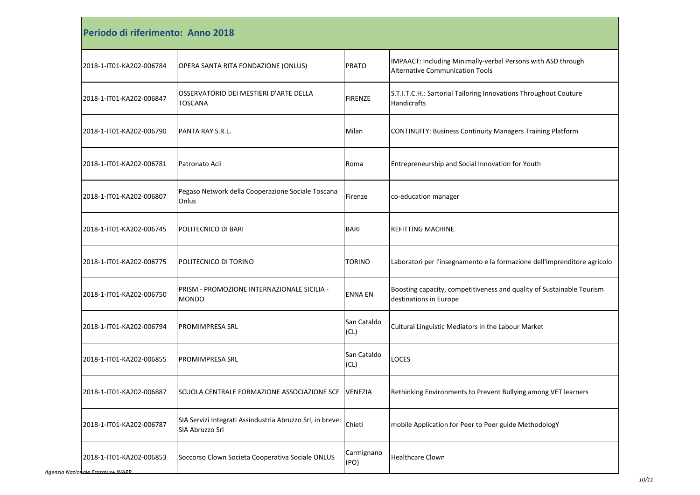| Periodo di riferimento: Anno 2018 |                                                                              |                     |                                                                                                        |
|-----------------------------------|------------------------------------------------------------------------------|---------------------|--------------------------------------------------------------------------------------------------------|
| 2018-1-IT01-KA202-006784          | OPERA SANTA RITA FONDAZIONE (ONLUS)                                          | <b>PRATO</b>        | IMPAACT: Including Minimally-verbal Persons with ASD through<br><b>Alternative Communication Tools</b> |
| 2018-1-IT01-KA202-006847          | OSSERVATORIO DEI MESTIERI D'ARTE DELLA<br><b>TOSCANA</b>                     | <b>FIRENZE</b>      | S.T.I.T.C.H.: Sartorial Tailoring Innovations Throughout Couture<br><b>Handicrafts</b>                 |
| 2018-1-IT01-KA202-006790          | PANTA RAY S.R.L.                                                             | Milan               | <b>CONTINUITY: Business Continuity Managers Training Platform</b>                                      |
| 2018-1-IT01-KA202-006781          | Patronato Acli                                                               | Roma                | Entrepreneurship and Social Innovation for Youth                                                       |
| 2018-1-IT01-KA202-006807          | Pegaso Network della Cooperazione Sociale Toscana<br>Onlus                   | Firenze             | co-education manager                                                                                   |
| 2018-1-IT01-KA202-006745          | POLITECNICO DI BARI                                                          | <b>BARI</b>         | <b>REFITTING MACHINE</b>                                                                               |
| 2018-1-IT01-KA202-006775          | POLITECNICO DI TORINO                                                        | <b>TORINO</b>       | Laboratori per l'insegnamento e la formazione dell'imprenditore agricolo                               |
| 2018-1-IT01-KA202-006750          | PRISM - PROMOZIONE INTERNAZIONALE SICILIA -<br><b>MONDO</b>                  | <b>ENNA EN</b>      | Boosting capacity, competitiveness and quality of Sustainable Tourism<br>destinations in Europe        |
| 2018-1-IT01-KA202-006794          | <b>PROMIMPRESA SRL</b>                                                       | San Cataldo<br>(CL) | Cultural Linguistic Mediators in the Labour Market                                                     |
| 2018-1-IT01-KA202-006855          | <b>PROMIMPRESA SRL</b>                                                       | San Cataldo<br>(CL) | <b>LOCES</b>                                                                                           |
| 2018-1-IT01-KA202-006887          | SCUOLA CENTRALE FORMAZIONE ASSOCIAZIONE SCF                                  | <b>VENEZIA</b>      | Rethinking Environments to Prevent Bullying among VET learners                                         |
| 2018-1-IT01-KA202-006787          | SIA Servizi Integrati Assindustria Abruzzo Srl, in breve:<br>SIA Abruzzo Srl | Chieti              | mobile Application for Peer to Peer guide MethodologY                                                  |
| 2018-1-IT01-KA202-006853          | Soccorso Clown Societa Cooperativa Sociale ONLUS                             | Carmignano<br>(PO)  | <b>Healthcare Clown</b>                                                                                |